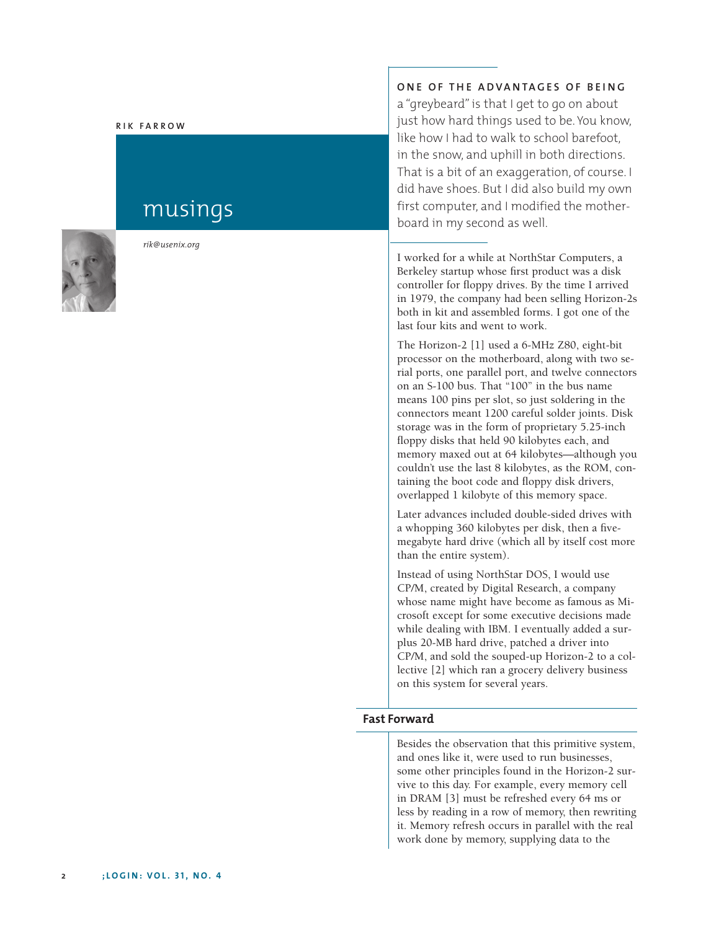#### **RIK FARROW**

# musings



*rik@usenix.org*

# **ONE OF THE ADVANTAGES OF BEING**

a "greybeard" is that I get to go on about just how hard things used to be. You know, like how I had to walk to school barefoot, in the snow, and uphill in both directions. That is a bit of an exaggeration, of course. I did have shoes. But I did also build my own first computer, and I modified the motherboard in my second as well.

I worked for a while at NorthStar Computers, a Berkeley startup whose first product was a disk controller for floppy drives. By the time I arrived in 1979, the company had been selling Horizon-2s both in kit and assembled forms. I got one of the last four kits and went to work.

The Horizon-2 [1] used a 6-MHz Z80, eight-bit processor on the motherboard, along with two serial ports, one parallel port, and twelve connectors on an S-100 bus. That "100" in the bus name means 100 pins per slot, so just soldering in the connectors meant 1200 careful solder joints. Disk storage was in the form of proprietary 5.25-inch floppy disks that held 90 kilobytes each, and memory maxed out at 64 kilobytes—although you couldn't use the last 8 kilobytes, as the ROM, containing the boot code and floppy disk drivers, overlapped 1 kilobyte of this memory space.

Later advances included double-sided drives with a whopping 360 kilobytes per disk, then a fivemegabyte hard drive (which all by itself cost more than the entire system).

Instead of using NorthStar DOS, I would use CP/M, created by Digital Research, a company whose name might have become as famous as Microsoft except for some executive decisions made while dealing with IBM. I eventually added a surplus 20-MB hard drive, patched a driver into CP/M, and sold the souped-up Horizon-2 to a collective [2] which ran a grocery delivery business on this system for several years.

#### **Fast Forward**

Besides the observation that this primitive system, and ones like it, were used to run businesses, some other principles found in the Horizon-2 survive to this day. For example, every memory cell in DRAM [3] must be refreshed every 64 ms or less by reading in a row of memory, then rewriting it. Memory refresh occurs in parallel with the real work done by memory, supplying data to the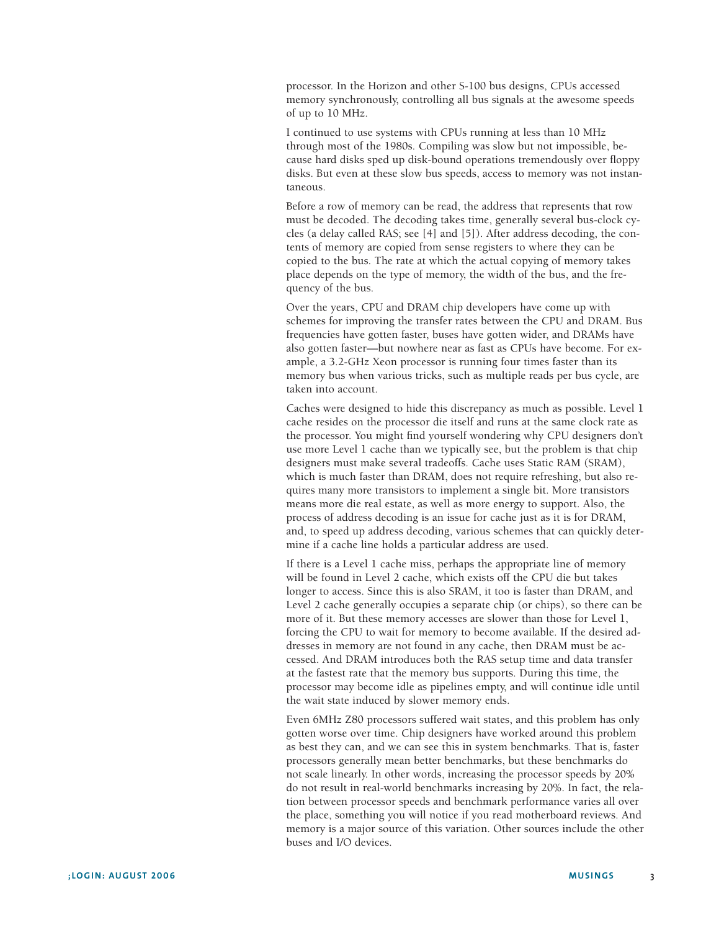processor. In the Horizon and other S-100 bus designs, CPUs accessed memory synchronously, controlling all bus signals at the awesome speeds of up to 10 MHz.

I continued to use systems with CPUs running at less than 10 MHz through most of the 1980s. Compiling was slow but not impossible, because hard disks sped up disk-bound operations tremendously over floppy disks. But even at these slow bus speeds, access to memory was not instantaneous.

Before a row of memory can be read, the address that represents that row must be decoded. The decoding takes time, generally several bus-clock cycles (a delay called RAS; see [4] and [5]). After address decoding, the contents of memory are copied from sense registers to where they can be copied to the bus. The rate at which the actual copying of memory takes place depends on the type of memory, the width of the bus, and the frequency of the bus.

Over the years, CPU and DRAM chip developers have come up with schemes for improving the transfer rates between the CPU and DRAM. Bus frequencies have gotten faster, buses have gotten wider, and DRAMs have also gotten faster—but nowhere near as fast as CPUs have become. For example, a 3.2-GHz Xeon processor is running four times faster than its memory bus when various tricks, such as multiple reads per bus cycle, are taken into account.

Caches were designed to hide this discrepancy as much as possible. Level 1 cache resides on the processor die itself and runs at the same clock rate as the processor. You might find yourself wondering why CPU designers don't use more Level 1 cache than we typically see, but the problem is that chip designers must make several tradeoffs. Cache uses Static RAM (SRAM), which is much faster than DRAM, does not require refreshing, but also requires many more transistors to implement a single bit. More transistors means more die real estate, as well as more energy to support. Also, the process of address decoding is an issue for cache just as it is for DRAM, and, to speed up address decoding, various schemes that can quickly determine if a cache line holds a particular address are used.

If there is a Level 1 cache miss, perhaps the appropriate line of memory will be found in Level 2 cache, which exists off the CPU die but takes longer to access. Since this is also SRAM, it too is faster than DRAM, and Level 2 cache generally occupies a separate chip (or chips), so there can be more of it. But these memory accesses are slower than those for Level 1, forcing the CPU to wait for memory to become available. If the desired addresses in memory are not found in any cache, then DRAM must be accessed. And DRAM introduces both the RAS setup time and data transfer at the fastest rate that the memory bus supports. During this time, the processor may become idle as pipelines empty, and will continue idle until the wait state induced by slower memory ends.

Even 6MHz Z80 processors suffered wait states, and this problem has only gotten worse over time. Chip designers have worked around this problem as best they can, and we can see this in system benchmarks. That is, faster processors generally mean better benchmarks, but these benchmarks do not scale linearly. In other words, increasing the processor speeds by 20% do not result in real-world benchmarks increasing by 20%. In fact, the relation between processor speeds and benchmark performance varies all over the place, something you will notice if you read motherboard reviews. And memory is a major source of this variation. Other sources include the other buses and I/O devices.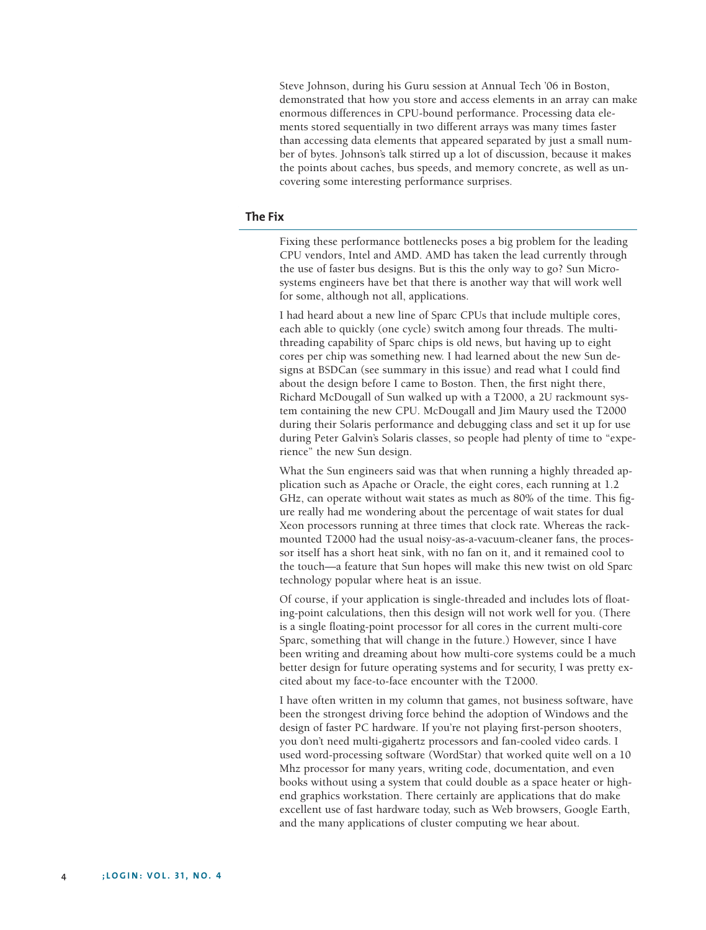Steve Johnson, during his Guru session at Annual Tech '06 in Boston, demonstrated that how you store and access elements in an array can make enormous differences in CPU-bound performance. Processing data elements stored sequentially in two different arrays was many times faster than accessing data elements that appeared separated by just a small number of bytes. Johnson's talk stirred up a lot of discussion, because it makes the points about caches, bus speeds, and memory concrete, as well as uncovering some interesting performance surprises.

## **The Fix**

Fixing these performance bottlenecks poses a big problem for the leading CPU vendors, Intel and AMD. AMD has taken the lead currently through the use of faster bus designs. But is this the only way to go? Sun Microsystems engineers have bet that there is another way that will work well for some, although not all, applications.

I had heard about a new line of Sparc CPUs that include multiple cores, each able to quickly (one cycle) switch among four threads. The multithreading capability of Sparc chips is old news, but having up to eight cores per chip was something new. I had learned about the new Sun designs at BSDCan (see summary in this issue) and read what I could find about the design before I came to Boston. Then, the first night there, Richard McDougall of Sun walked up with a T2000, a 2U rackmount system containing the new CPU. McDougall and Jim Maury used the T2000 during their Solaris performance and debugging class and set it up for use during Peter Galvin's Solaris classes, so people had plenty of time to "experience" the new Sun design.

What the Sun engineers said was that when running a highly threaded application such as Apache or Oracle, the eight cores, each running at 1.2 GHz, can operate without wait states as much as 80% of the time. This figure really had me wondering about the percentage of wait states for dual Xeon processors running at three times that clock rate. Whereas the rackmounted T2000 had the usual noisy-as-a-vacuum-cleaner fans, the processor itself has a short heat sink, with no fan on it, and it remained cool to the touch—a feature that Sun hopes will make this new twist on old Sparc technology popular where heat is an issue.

Of course, if your application is single-threaded and includes lots of floating-point calculations, then this design will not work well for you. (There is a single floating-point processor for all cores in the current multi-core Sparc, something that will change in the future.) However, since I have been writing and dreaming about how multi-core systems could be a much better design for future operating systems and for security, I was pretty excited about my face-to-face encounter with the T2000.

I have often written in my column that games, not business software, have been the strongest driving force behind the adoption of Windows and the design of faster PC hardware. If you're not playing first-person shooters, you don't need multi-gigahertz processors and fan-cooled video cards. I used word-processing software (WordStar) that worked quite well on a 10 Mhz processor for many years, writing code, documentation, and even books without using a system that could double as a space heater or highend graphics workstation. There certainly are applications that do make excellent use of fast hardware today, such as Web browsers, Google Earth, and the many applications of cluster computing we hear about.